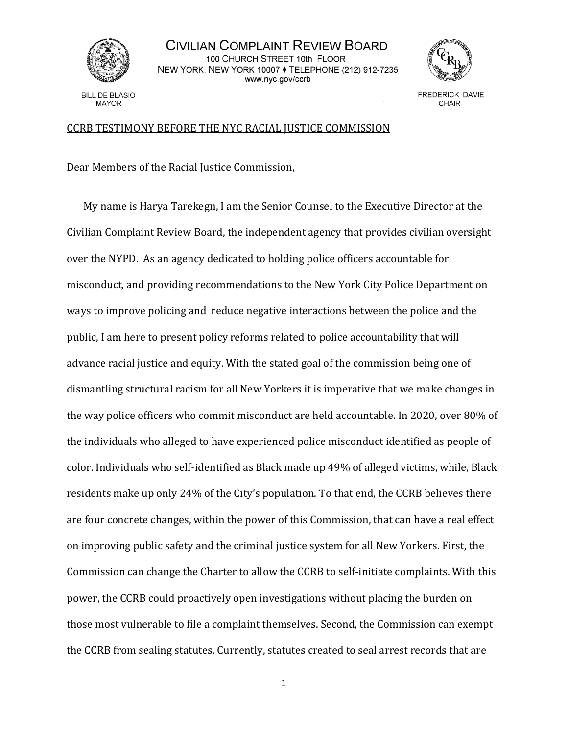

CIVILIAN COMPLAINT REVIEW BOARD 100 CHURCH STREET 10th FLOOR NEW YORK, NEW YORK 10007 ♦ TELEPHONE (212) 912-7235 www.nyc.gov/ccrb



**FREDERICK DAVIE** CHAIR

# CCRB TESTIMONY BEFORE THE NYC RACIAL JUSTICE COMMISSION

Dear Members of the Racial Justice Commission,

My name is Harya Tarekegn, I am the Senior Counsel to the Executive Director at the Civilian Complaint Review Board, the independent agency that provides civilian oversight over the NYPD. As an agency dedicated to holding police officers accountable for misconduct, and providing recommendations to the New York City Police Department on ways to improve policing and reduce negative interactions between the police and the public, I am here to present policy reforms related to police accountability that will advance racial justice and equity. With the stated goal of the commission being one of dismantling structural racism for all New Yorkers it is imperative that we make changes in the way police officers who commit misconduct are held accountable. In 2020, over 80% of the individuals who alleged to have experienced police misconduct identified as people of color. Individuals who self-identified as Black made up 49% of alleged victims, while, Black residents make up only 24% of the City's population. To that end, the CCRB believes there are four concrete changes, within the power of this Commission, that can have a real effect on improving public safety and the criminal justice system for all New Yorkers. First, the Commission can change the Charter to allow the CCRB to self-initiate complaints. With this power, the CCRB could proactively open investigations without placing the burden on those most vulnerable to file a complaint themselves. Second, the Commission can exempt the CCRB from sealing statutes. Currently, statutes created to seal arrest records that are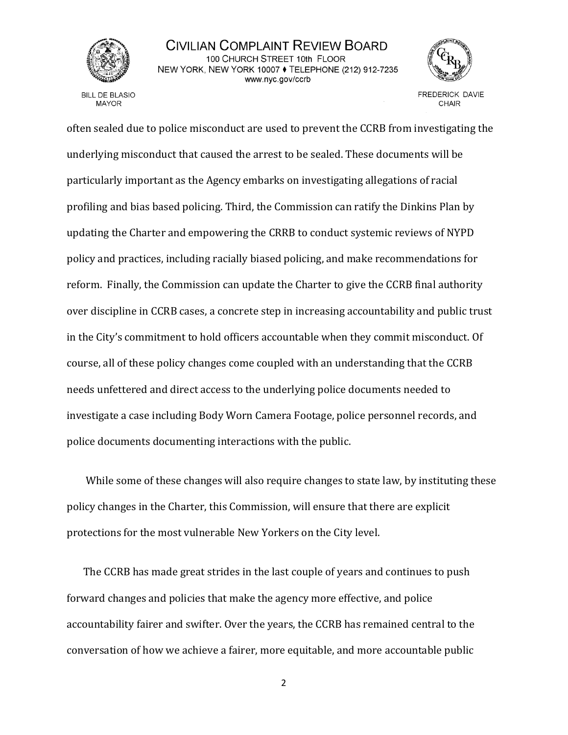

**BILL DE BLASIO MAYOR** 



**FREDERICK DAVIE** CHAIR

often sealed due to police misconduct are used to prevent the CCRB from investigating the underlying misconduct that caused the arrest to be sealed. These documents will be particularly important as the Agency embarks on investigating allegations of racial profiling and bias based policing. Third, the Commission can ratify the Dinkins Plan by updating the Charter and empowering the CRRB to conduct systemic reviews of NYPD policy and practices, including racially biased policing, and make recommendations for reform. Finally, the Commission can update the Charter to give the CCRB final authority over discipline in CCRB cases, a concrete step in increasing accountability and public trust in the City's commitment to hold officers accountable when they commit misconduct. Of course, all of these policy changes come coupled with an understanding that the CCRB needs unfettered and direct access to the underlying police documents needed to investigate a case including Body Worn Camera Footage, police personnel records, and police documents documenting interactions with the public.

While some of these changes will also require changes to state law, by instituting these policy changes in the Charter, this Commission, will ensure that there are explicit protections for the most vulnerable New Yorkers on the City level.

The CCRB has made great strides in the last couple of years and continues to push forward changes and policies that make the agency more effective, and police accountability fairer and swifter. Over the years, the CCRB has remained central to the conversation of how we achieve a fairer, more equitable, and more accountable public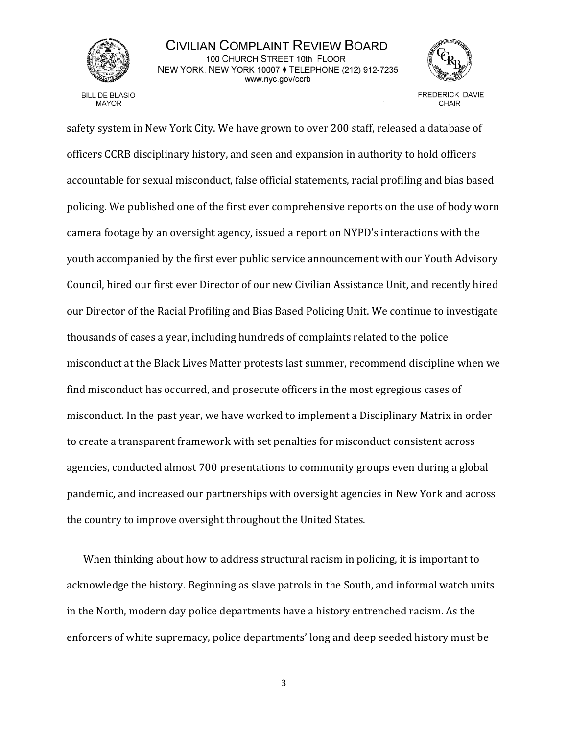

**BILL DE BLASIO MAYOR** 



**FREDERICK DAVIE** CHAIR

safety system in New York City. We have grown to over 200 staff, released a database of officers CCRB disciplinary history, and seen and expansion in authority to hold officers accountable for sexual misconduct, false official statements, racial profiling and bias based policing. We published one of the first ever comprehensive reports on the use of body worn camera footage by an oversight agency, issued a report on NYPD's interactions with the youth accompanied by the first ever public service announcement with our Youth Advisory Council, hired our first ever Director of our new Civilian Assistance Unit, and recently hired our Director of the Racial Profiling and Bias Based Policing Unit. We continue to investigate thousands of cases a year, including hundreds of complaints related to the police misconduct at the Black Lives Matter protests last summer, recommend discipline when we find misconduct has occurred, and prosecute officers in the most egregious cases of misconduct. In the past year, we have worked to implement a Disciplinary Matrix in order to create a transparent framework with set penalties for misconduct consistent across agencies, conducted almost 700 presentations to community groups even during a global pandemic, and increased our partnerships with oversight agencies in New York and across the country to improve oversight throughout the United States.

When thinking about how to address structural racism in policing, it is important to acknowledge the history. Beginning as slave patrols in the South, and informal watch units in the North, modern day police departments have a history entrenched racism. As the enforcers of white supremacy, police departments' long and deep seeded history must be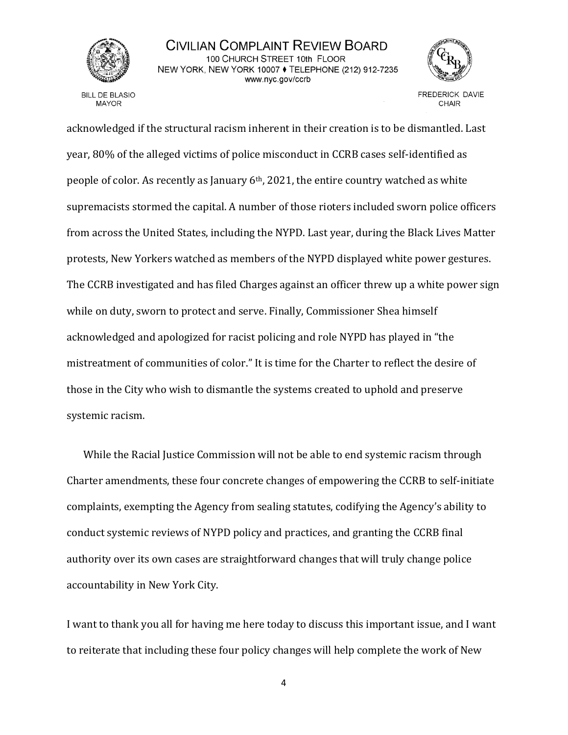

**BILL DE BLASIO MAYOR** 



**FREDERICK DAVIE** CHAIR

acknowledged if the structural racism inherent in their creation is to be dismantled. Last year, 80% of the alleged victims of police misconduct in CCRB cases self-identified as people of color. As recently as January  $6<sup>th</sup>$ , 2021, the entire country watched as white supremacists stormed the capital. A number of those rioters included sworn police officers from across the United States, including the NYPD. Last year, during the Black Lives Matter protests, New Yorkers watched as members of the NYPD displayed white power gestures. The CCRB investigated and has filed Charges against an officer threw up a white power sign while on duty, sworn to protect and serve. Finally, Commissioner Shea himself acknowledged and apologized for racist policing and role NYPD has played in "the mistreatment of communities of color." It is time for the Charter to reflect the desire of those in the City who wish to dismantle the systems created to uphold and preserve systemic racism.

While the Racial Justice Commission will not be able to end systemic racism through Charter amendments, these four concrete changes of empowering the CCRB to self-initiate complaints, exempting the Agency from sealing statutes, codifying the Agency's ability to conduct systemic reviews of NYPD policy and practices, and granting the CCRB final authority over its own cases are straightforward changes that will truly change police accountability in New York City.

I want to thank you all for having me here today to discuss this important issue, and I want to reiterate that including these four policy changes will help complete the work of New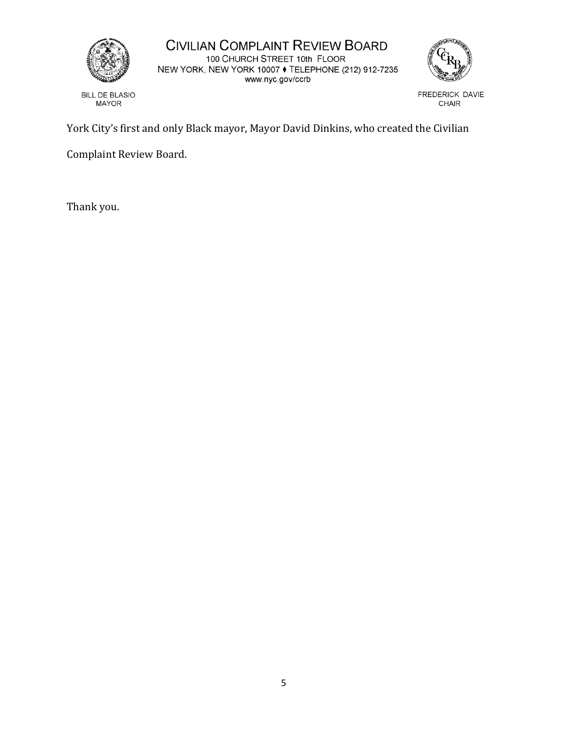

BILL DE BLASIO

**MAYOR** 

CIVILIAN COMPLAINT REVIEW BOARD 100 CHURCH STREET 10th FLOOR NEW YORK, NEW YORK 10007 • TELEPHONE (212) 912-7235 www.nyc.gov/ccrb



FREDERICK DAVIE CHAIR

York City's first and only Black mayor, Mayor David Dinkins, who created the Civilian

Complaint Review Board.

Thank you.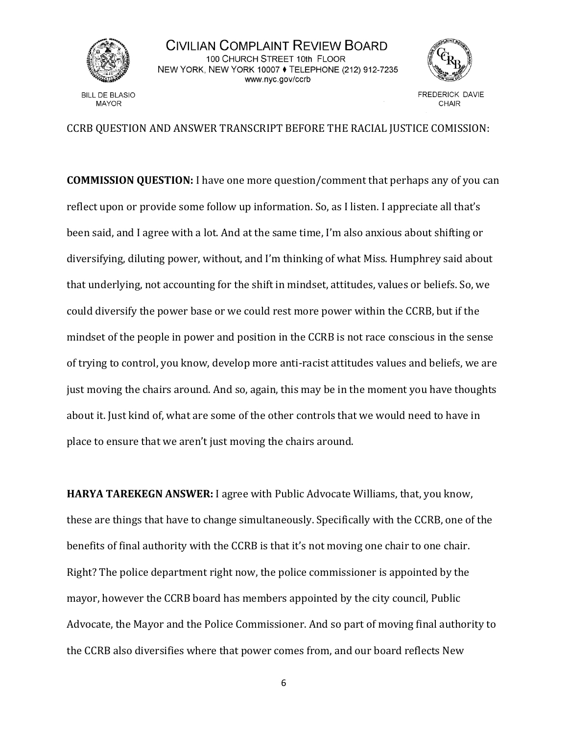

CIVILIAN COMPLAINT REVIEW BOARD 100 CHURCH STREET 10th FLOOR NEW YORK, NEW YORK 10007 ♦ TELEPHONE (212) 912-7235 www.nyc.gov/ccrb



**FREDERICK DAVIE** CHAIR

CCRB QUESTION AND ANSWER TRANSCRIPT BEFORE THE RACIAL JUSTICE COMISSION:

**COMMISSION QUESTION:** I have one more question/comment that perhaps any of you can reflect upon or provide some follow up information. So, as I listen. I appreciate all that's been said, and I agree with a lot. And at the same time, I'm also anxious about shifting or diversifying, diluting power, without, and I'm thinking of what Miss. Humphrey said about that underlying, not accounting for the shift in mindset, attitudes, values or beliefs. So, we could diversify the power base or we could rest more power within the CCRB, but if the mindset of the people in power and position in the CCRB is not race conscious in the sense of trying to control, you know, develop more anti-racist attitudes values and beliefs, we are just moving the chairs around. And so, again, this may be in the moment you have thoughts about it. Just kind of, what are some of the other controls that we would need to have in place to ensure that we aren't just moving the chairs around.

**HARYA TAREKEGN ANSWER:** I agree with Public Advocate Williams, that, you know, these are things that have to change simultaneously. Specifically with the CCRB, one of the benefits of final authority with the CCRB is that it's not moving one chair to one chair. Right? The police department right now, the police commissioner is appointed by the mayor, however the CCRB board has members appointed by the city council, Public Advocate, the Mayor and the Police Commissioner. And so part of moving final authority to the CCRB also diversifies where that power comes from, and our board reflects New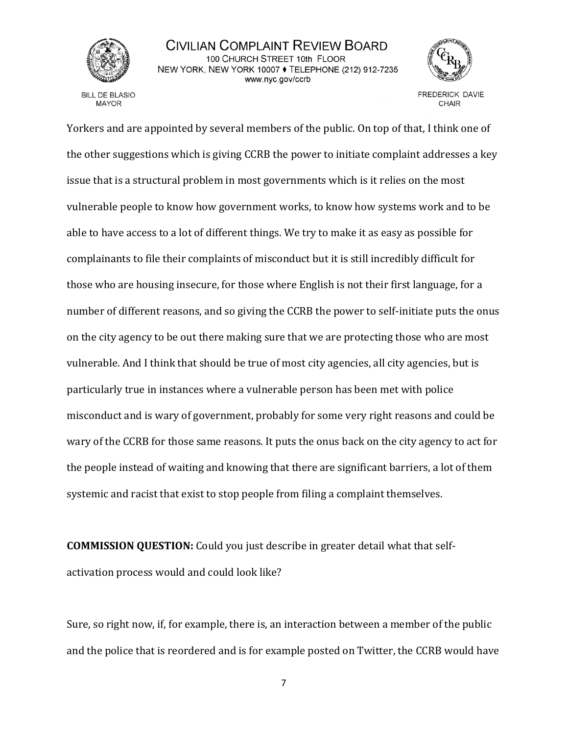

**BILL DE BLASIO MAYOR** 



**FREDERICK DAVIE** CHAIR

Yorkers and are appointed by several members of the public. On top of that, I think one of the other suggestions which is giving CCRB the power to initiate complaint addresses a key issue that is a structural problem in most governments which is it relies on the most vulnerable people to know how government works, to know how systems work and to be able to have access to a lot of different things. We try to make it as easy as possible for complainants to file their complaints of misconduct but it is still incredibly difficult for those who are housing insecure, for those where English is not their first language, for a number of different reasons, and so giving the CCRB the power to self-initiate puts the onus on the city agency to be out there making sure that we are protecting those who are most vulnerable. And I think that should be true of most city agencies, all city agencies, but is particularly true in instances where a vulnerable person has been met with police misconduct and is wary of government, probably for some very right reasons and could be wary of the CCRB for those same reasons. It puts the onus back on the city agency to act for the people instead of waiting and knowing that there are significant barriers, a lot of them systemic and racist that exist to stop people from filing a complaint themselves.

**COMMISSION QUESTION:** Could you just describe in greater detail what that selfactivation process would and could look like?

Sure, so right now, if, for example, there is, an interaction between a member of the public and the police that is reordered and is for example posted on Twitter, the CCRB would have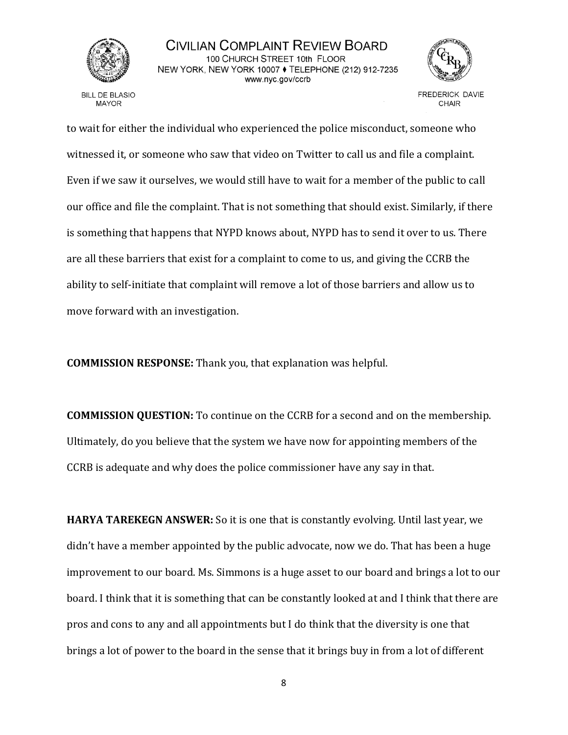

CIVILIAN COMPLAINT REVIEW BOARD 100 CHURCH STREET 10th FLOOR NEW YORK, NEW YORK 10007 ♦ TELEPHONE (212) 912-7235 www.nyc.gov/ccrb



**FREDERICK DAVIE** CHAIR

to wait for either the individual who experienced the police misconduct, someone who witnessed it, or someone who saw that video on Twitter to call us and file a complaint. Even if we saw it ourselves, we would still have to wait for a member of the public to call our office and file the complaint. That is not something that should exist. Similarly, if there is something that happens that NYPD knows about, NYPD has to send it over to us. There are all these barriers that exist for a complaint to come to us, and giving the CCRB the ability to self-initiate that complaint will remove a lot of those barriers and allow us to move forward with an investigation.

**COMMISSION RESPONSE:** Thank you, that explanation was helpful.

**COMMISSION QUESTION:** To continue on the CCRB for a second and on the membership. Ultimately, do you believe that the system we have now for appointing members of the CCRB is adequate and why does the police commissioner have any say in that.

**HARYA TAREKEGN ANSWER:** So it is one that is constantly evolving. Until last year, we didn't have a member appointed by the public advocate, now we do. That has been a huge improvement to our board. Ms. Simmons is a huge asset to our board and brings a lot to our board. I think that it is something that can be constantly looked at and I think that there are pros and cons to any and all appointments but I do think that the diversity is one that brings a lot of power to the board in the sense that it brings buy in from a lot of different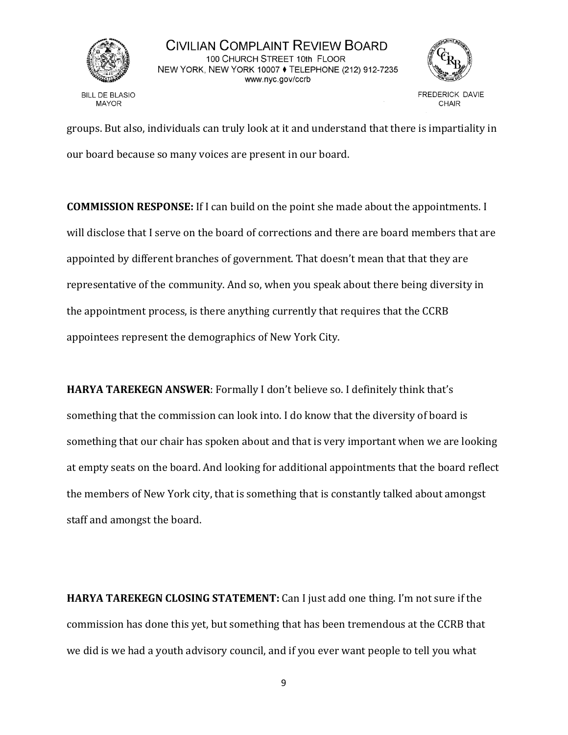

CIVILIAN COMPLAINT REVIEW BOARD 100 CHURCH STREET 10th FLOOR NEW YORK, NEW YORK 10007 ♦ TELEPHONE (212) 912-7235 www.nyc.gov/ccrb



**FREDERICK DAVIE** CHAIR

groups. But also, individuals can truly look at it and understand that there is impartiality in our board because so many voices are present in our board.

**COMMISSION RESPONSE:** If I can build on the point she made about the appointments. I will disclose that I serve on the board of corrections and there are board members that are appointed by different branches of government. That doesn't mean that that they are representative of the community. And so, when you speak about there being diversity in the appointment process, is there anything currently that requires that the CCRB appointees represent the demographics of New York City.

**HARYA TAREKEGN ANSWER**: Formally I don't believe so. I definitely think that's something that the commission can look into. I do know that the diversity of board is something that our chair has spoken about and that is very important when we are looking at empty seats on the board. And looking for additional appointments that the board reflect the members of New York city, that is something that is constantly talked about amongst staff and amongst the board.

**HARYA TAREKEGN CLOSING STATEMENT:** Can I just add one thing. I'm not sure if the commission has done this yet, but something that has been tremendous at the CCRB that we did is we had a youth advisory council, and if you ever want people to tell you what